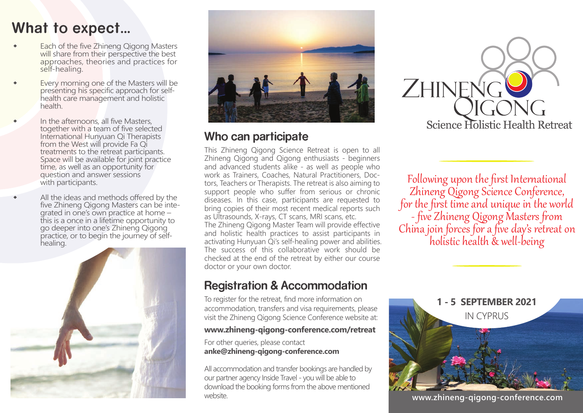# **What to expect...**

- Each of the five Zhineng Qigong Masters will share from their perspective the best approaches, theories and practices for self-healing.
- Every morning one of the Masters will be presenting his specific approach for self health care management and holistic health.
- In the afternoons, all five Masters, together with a team of five selected International Hunyuan Qi Therapists from the West will provide Fa Qi treatments to the retreat participants. Space will be available for joint practice time, as well as an opportunity for question and answer sessions with participants.
- All the ideas and methods offered by the five Zhineng Qigong Masters can be inte grated in one's own practice at home – this is a once in a lifetime opportunity to go deeper into one's Zhineng Qigong practice, or to begin the journey of self healing.





## **Who can participate**

This Zhineng Qigong Science Retreat is open to all Zhineng Qigong and Qigong enthusiasts - beginners and advanced students alike - as well as people who work as Trainers, Coaches, Natural Practitioners, Doctors, Teachers or Therapists. The retreat is also aiming to support people who suffer from serious or chronic diseases. In this case, participants are requested to bring copies of their most recent medical reports such as Ultrasounds, X-rays, CT scans, MRI scans, etc. The Zhineng Qigong Master Team will provide effective and holistic health practices to assist participants in activating Hunyuan Qi's self-healing power and abilities. The success of this collaborative work should be checked at the end of the retreat by either our course doctor or your own doctor.

## **Registration & Accommodation**

To register for the retreat, find more information on accommodation, transfers and visa requirements, please visit the Zhineng Qigong Science Conference website at:

#### **www.zhineng-qigong-conference.com/retreat**

For other queries, please contact **anke@zhineng-qigong-conference.com**

All accommodation and transfer bookings are handled by our partner agency Inside Travel - you will be able to download the booking forms from the above mentioned website.



Following upon the first International Zhineng Qigong Science Conference, for the first time and unique in the world - five Zhineng Qigong Masters from<br>China join forces for a five day's retreat on<br>holistic health & well-being



**www.zhineng-qigong-conference.com**